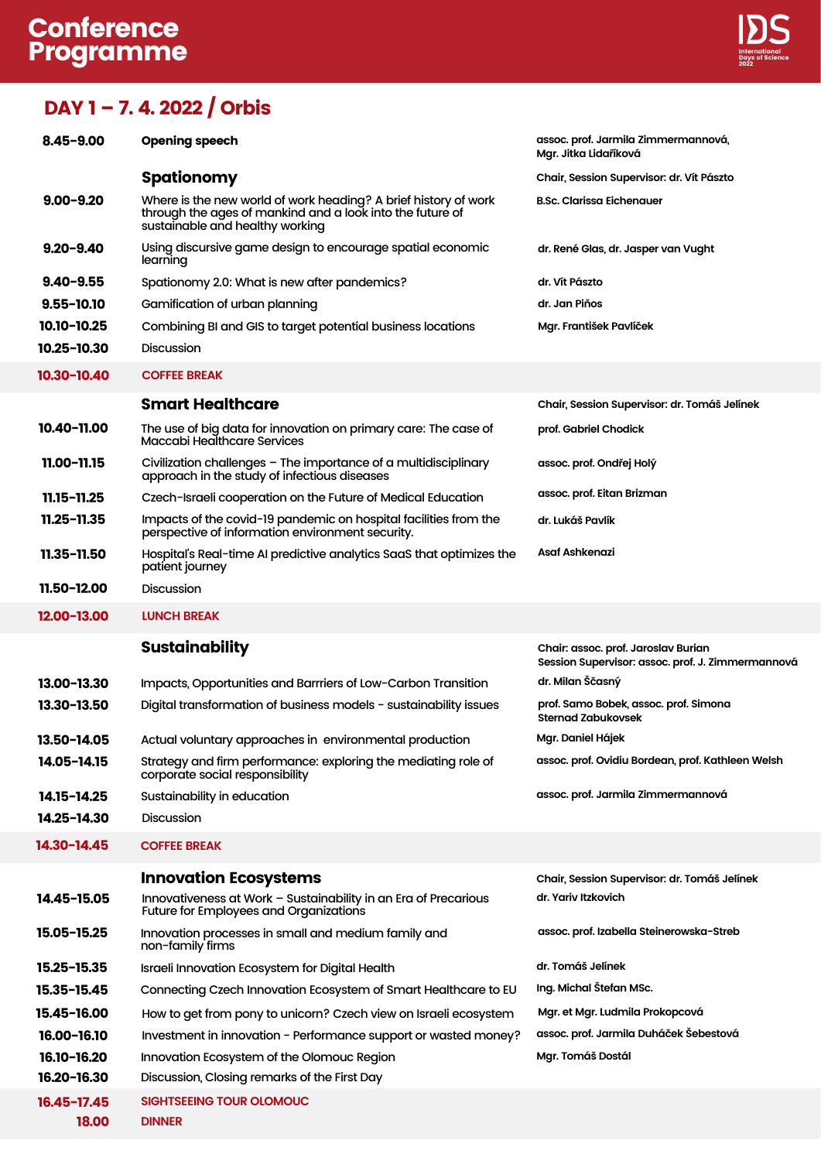## Conference Programme



## DAY 1 – 7. 4. 2022 / Orbis

| $8.45 - 9.00$  | <b>Opening speech</b>                                                                                                                                           | assoc. prof. Jarmila Zimmermannová,<br>Mgr. Jitka Lidaříková                             |
|----------------|-----------------------------------------------------------------------------------------------------------------------------------------------------------------|------------------------------------------------------------------------------------------|
|                | <b>Spationomy</b>                                                                                                                                               | Chair, Session Supervisor: dr. Vít Pászto                                                |
| $9.00 - 9.20$  | Where is the new world of work heading? A brief history of work<br>through the ages of mankind and a look into the future of<br>sustainable and healthy working | <b>B.Sc. Clarissa Eichenauer</b>                                                         |
| $9.20 - 9.40$  | Using discursive game design to encourage spatial economic<br>learning                                                                                          | dr. René Glas, dr. Jasper van Vught                                                      |
| $9.40 - 9.55$  | Spationomy 2.0: What is new after pandemics?                                                                                                                    | dr. Vít Pászto                                                                           |
| $9.55 - 10.10$ | Gamification of urban planning                                                                                                                                  | dr. Jan Piňos                                                                            |
| 10.10-10.25    | Combining BI and GIS to target potential business locations                                                                                                     | Mgr. František Pavlíček                                                                  |
| 10.25-10.30    | <b>Discussion</b>                                                                                                                                               |                                                                                          |
| 10.30-10.40    | <b>COFFEE BREAK</b>                                                                                                                                             |                                                                                          |
|                | <b>Smart Healthcare</b>                                                                                                                                         | Chair, Session Supervisor: dr. Tomáš Jelínek                                             |
| 10.40-11.00    | The use of big data for innovation on primary care: The case of<br>Maccabi Healthcare Services                                                                  | prof. Gabriel Chodick                                                                    |
| 11.00-11.15    | Civilization challenges - The importance of a multidisciplinary<br>approach in the study of infectious diseases                                                 | assoc. prof. Ondřej Holý                                                                 |
| 11.15-11.25    | Czech-Israeli cooperation on the Future of Medical Education                                                                                                    | assoc. prof. Eitan Brizman                                                               |
| 11.25-11.35    | Impacts of the covid-19 pandemic on hospital facilities from the<br>perspective of information environment security.                                            | dr. Lukáš Pavlík                                                                         |
| 11.35-11.50    | Hospital's Real-time AI predictive analytics SaaS that optimizes the<br>patient journey                                                                         | Asaf Ashkenazi                                                                           |
| 11.50-12.00    | <b>Discussion</b>                                                                                                                                               |                                                                                          |
| 12.00-13.00    | <b>LUNCH BREAK</b>                                                                                                                                              |                                                                                          |
|                |                                                                                                                                                                 |                                                                                          |
|                | <b>Sustainability</b>                                                                                                                                           | Chair: assoc. prof. Jaroslav Burian<br>Session Supervisor: assoc. prof. J. Zimmermannová |
| 13.00-13.30    | Impacts, Opportunities and Barrriers of Low-Carbon Transition                                                                                                   | dr. Milan Ščasný                                                                         |
| 13.30-13.50    | Digital transformation of business models - sustainability issues                                                                                               | prof. Samo Bobek, assoc. prof. Simona<br><b>Sternad Zabukovsek</b>                       |
| 13.50-14.05    | Actual voluntary approaches in environmental production                                                                                                         | Mgr. Daniel Hájek                                                                        |
| 14.05-14.15    | Strategy and firm performance: exploring the mediating role of<br>corporate social responsibility                                                               | assoc. prof. Ovidiu Bordean, prof. Kathleen Welsh                                        |
| 14.15-14.25    | Sustainability in education                                                                                                                                     | assoc. prof. Jarmila Zimmermannová                                                       |
| 14.25-14.30    | <b>Discussion</b>                                                                                                                                               |                                                                                          |
| 14.30-14.45    | <b>COFFEE BREAK</b>                                                                                                                                             |                                                                                          |
|                | <b>Innovation Ecosystems</b>                                                                                                                                    | Chair, Session Supervisor: dr. Tomáš Jelínek                                             |
| 14.45-15.05    | Innovativeness at Work - Sustainability in an Era of Precarious<br><b>Future for Employees and Organizations</b>                                                | dr. Yariv Itzkovich                                                                      |
| 15.05-15.25    | Innovation processes in small and medium family and<br>non-family firms                                                                                         | assoc. prof. Izabella Steinerowska-Streb                                                 |
| 15.25-15.35    | Israeli Innovation Ecosystem for Digital Health                                                                                                                 | dr. Tomáš Jelínek                                                                        |
| 15.35-15.45    | Connecting Czech Innovation Ecosystem of Smart Healthcare to EU                                                                                                 | Ing. Michal Štefan MSc.                                                                  |
| 15.45-16.00    | How to get from pony to unicorn? Czech view on Israeli ecosystem                                                                                                | Mgr. et Mgr. Ludmila Prokopcová                                                          |
| 16.00-16.10    | Investment in innovation - Performance support or wasted money?                                                                                                 | assoc. prof. Jarmila Duháček Šebestová                                                   |
| 16.10-16.20    | Innovation Ecosystem of the Olomouc Region                                                                                                                      | Mgr. Tomáš Dostál                                                                        |
| 16.20-16.30    | Discussion, Closing remarks of the First Day                                                                                                                    |                                                                                          |
| 16.45-17.45    | SIGHTSEEING TOUR OLOMOUC                                                                                                                                        |                                                                                          |